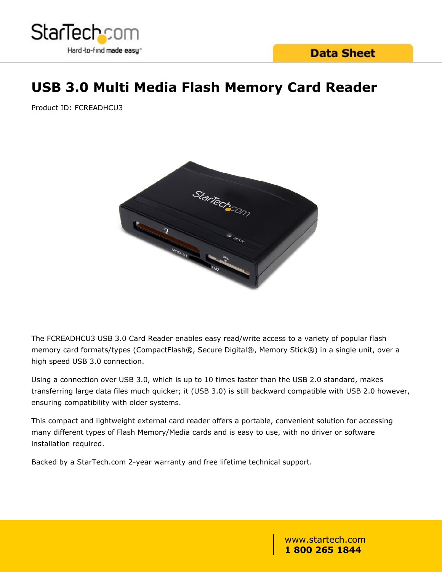

# **USB 3.0 Multi Media Flash Memory Card Reader**

Product ID: FCREADHCU3



The FCREADHCU3 USB 3.0 Card Reader enables easy read/write access to a variety of popular flash memory card formats/types (CompactFlash®, Secure Digital®, Memory Stick®) in a single unit, over a high speed USB 3.0 connection.

Using a connection over USB 3.0, which is up to 10 times faster than the USB 2.0 standard, makes transferring large data files much quicker; it (USB 3.0) is still backward compatible with USB 2.0 however, ensuring compatibility with older systems.

This compact and lightweight external card reader offers a portable, convenient solution for accessing many different types of Flash Memory/Media cards and is easy to use, with no driver or software installation required.

Backed by a StarTech.com 2-year warranty and free lifetime technical support.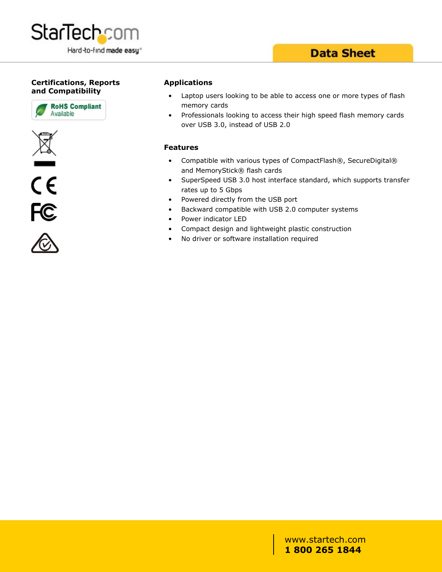

### **Data Sheet**

#### **Certifications, Reports and Compatibility**









#### **Applications**

- Laptop users looking to be able to access one or more types of flash memory cards
- Professionals looking to access their high speed flash memory cards over USB 3.0, instead of USB 2.0

#### **Features**

- Compatible with various types of CompactFlash®, SecureDigital® and MemoryStick® flash cards
- SuperSpeed USB 3.0 host interface standard, which supports transfer rates up to 5 Gbps
- Powered directly from the USB port
- Backward compatible with USB 2.0 computer systems
- Power indicator LED
- Compact design and lightweight plastic construction
- No driver or software installation required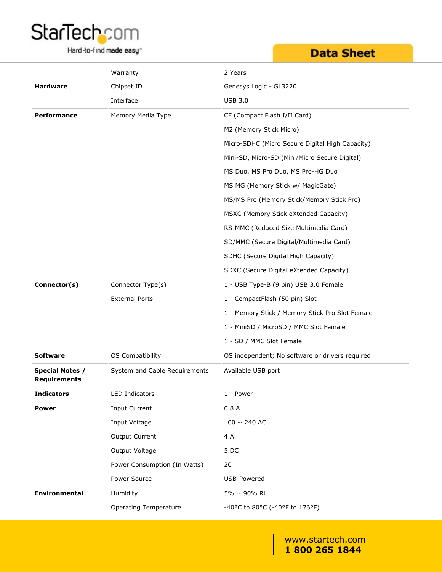

Hard-to-find made easy<sup>®</sup>

## **Data Sheet**

|                                               | Warranty                      | 2 Years                                         |
|-----------------------------------------------|-------------------------------|-------------------------------------------------|
| <b>Hardware</b>                               | Chipset ID                    | Genesys Logic - GL3220                          |
|                                               | Interface                     | <b>USB 3.0</b>                                  |
| <b>Performance</b>                            | Memory Media Type             | CF (Compact Flash I/II Card)                    |
|                                               |                               | M2 (Memory Stick Micro)                         |
|                                               |                               | Micro-SDHC (Micro Secure Digital High Capacity) |
|                                               |                               | Mini-SD, Micro-SD (Mini/Micro Secure Digital)   |
|                                               |                               | MS Duo, MS Pro Duo, MS Pro-HG Duo               |
|                                               |                               | MS MG (Memory Stick w/ MagicGate)               |
|                                               |                               | MS/MS Pro (Memory Stick/Memory Stick Pro)       |
|                                               |                               | MSXC (Memory Stick eXtended Capacity)           |
|                                               |                               | RS-MMC (Reduced Size Multimedia Card)           |
|                                               |                               | SD/MMC (Secure Digital/Multimedia Card)         |
|                                               |                               | SDHC (Secure Digital High Capacity)             |
|                                               |                               | SDXC (Secure Digital eXtended Capacity)         |
| Connector(s)                                  | Connector Type(s)             | 1 - USB Type-B (9 pin) USB 3.0 Female           |
|                                               | <b>External Ports</b>         | 1 - CompactFlash (50 pin) Slot                  |
|                                               |                               | 1 - Memory Stick / Memory Stick Pro Slot Female |
|                                               |                               | 1 - MiniSD / MicroSD / MMC Slot Female          |
|                                               |                               | 1 - SD / MMC Slot Female                        |
| <b>Software</b>                               | OS Compatibility              | OS independent; No software or drivers required |
| <b>Special Notes /</b><br><b>Requirements</b> | System and Cable Requirements | Available USB port                              |
| <b>Indicators</b>                             | LED Indicators                | 1 - Power                                       |
| <b>Power</b>                                  | <b>Input Current</b>          | 0.8A                                            |
|                                               | Input Voltage                 | 100 $\sim$ 240 AC                               |
|                                               | Output Current                | 4 A                                             |
|                                               | Output Voltage                | 5DC                                             |
|                                               | Power Consumption (In Watts)  | 20                                              |
|                                               | Power Source                  | USB-Powered                                     |
| Environmental                                 | Humidity                      | 5% ~ 90% RH                                     |
|                                               | <b>Operating Temperature</b>  | -40°C to 80°C (-40°F to 176°F)                  |
|                                               |                               |                                                 |